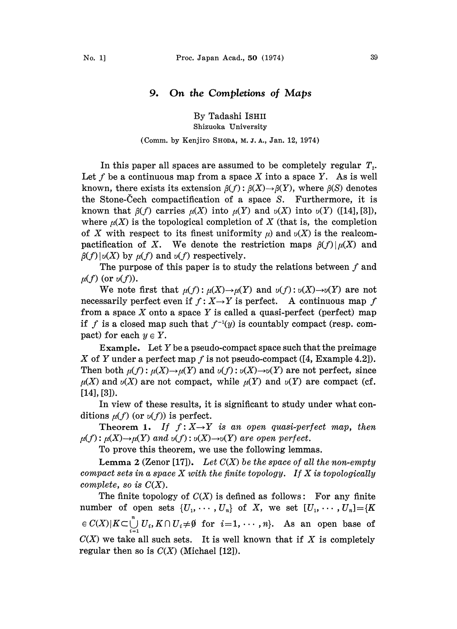## 9. On the Completions of Maps

By Tadashi ISHII Shizuoka University

## (Comm. by Kenjiro SHODA, M. Z. A., Jan. 12, 1974)

In this paper all spaces are assumed to be completely regular  $T<sub>2</sub>$ . Let f be a continuous map from a space X into a space Y. As is well known, there exists its extension  $\beta(f): \beta(X) \to \beta(Y)$ , where  $\beta(S)$  denotes the Stone-Cech compactification of a space  $S$ . Furthermore, it is known that  $\beta(f)$  carries  $\mu(X)$  into  $\mu(Y)$  and  $\nu(X)$  into  $\nu(Y)$  ([14], [3]), where  $\mu(X)$  is the topological completion of X (that is, the completion of X with respect to its finest uniformity  $\mu$ ) and  $\nu(X)$  is the realcompactification of X. We denote the restriction maps  $\beta(f)|\mu(X)$  and  $\beta(f)|\nu(X)$  by  $\mu(f)$  and  $\nu(f)$  respectively.

The purpose of this paper is to study the relations between  $f$  and  $\mu(f)$  (or  $\nu(f)$ ).

We note first that  $\mu(f): \mu(X) \to \mu(Y)$  and  $\nu(f): \nu(X) \to \nu(Y)$  are not necessarily perfect even if  $f: X \rightarrow Y$  is perfect. A continuous map f from a space X onto a space Y is called a quasi-perfect (perfect) map if f is a closed map such that  $f^{-1}(y)$  is countably compact (resp. compact) for each  $y \in Y$ .

Example. Let  $Y$  be a pseudo-compact space such that the preimage X of Y under a perfect map f is not pseudo-compact  $(4, Example 4.2)$ . Then both  $\mu(f)$ :  $\mu(X) \rightarrow \mu(Y)$  and  $\nu(f): \nu(X) \rightarrow \nu(Y)$  are not perfect, since  $\mu(X)$  and  $\nu(X)$  are not compact, while  $\mu(Y)$  and  $\nu(Y)$  are compact (cf. [14], [3]).

In view of these results, it is significant to study under what conditions  $\mu(f)$  (or  $\nu(f)$ ) is perfect.

Theorem 1. If  $f: X \rightarrow Y$  is an open quasi-perfect map, then  $\mu(f)$ :  $\mu(X) \rightarrow \mu(Y)$  and  $\nu(f)$ :  $\nu(X) \rightarrow \nu(Y)$  are open perfect.

To prove this theorem, we use the following lemmas.

**Lemma 2** (Zenor [17]). Let  $C(X)$  be the space of all the non-empty compact sets in a space  $X$  with the finite topology. If  $X$  is topologically complete, so is  $C(X)$ .

The finite topology of  $C(X)$  is defined as follows: For any finite number of open sets  $\{U_1, \cdots, U_n\}$  of X, we set  $[U_1, \cdots, U_n]=\{K\}$  $\epsilon C(X)|K\subset \bigcup_{i=1}^n U_i, K\cap U_i\neq \emptyset$  for  $i=1,\cdots,n$ . As an open base of  $C(X)$  we take all such sets. It is well known that if X is completely regular then so is  $C(X)$  (Michael [12]).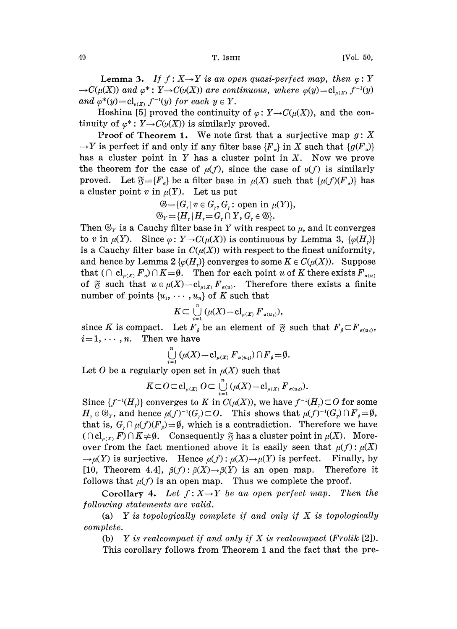**Lemma 3.** If  $f : X \rightarrow Y$  is an open quasi-perfect map, then  $\varphi : Y$  $\rightarrow C(\mu(X))$  and  $\varphi^*: Y \rightarrow C(\nu(X))$  are continuous, where  $\varphi(y)=cl_{\mu(X)}f^{-1}(y)$ and  $\varphi^*(y) = cl_{\nu(X)} f^{-1}(y)$  for each  $y \in Y$ .

Hoshina [5] proved the continuity of  $\varphi: Y \to C(\mu(X))$ , and the continuity of  $\varphi^*: Y \to C(\nu(X))$  is similarly proved.

**Proof of Theorem 1.** We note first that a surjective map  $g: X$  $\rightarrow Y$  is perfect if and only if any filter base  ${F<sub>a</sub>}$  in X such that  ${g(F<sub>a</sub>)}$ has a cluster point in  $Y$  has a cluster point in  $X$ . Now we prove the theorem for the case of  $\mu(f)$ , since the case of  $\nu(f)$  is similarly proved. Let  $\mathfrak{F} = \{F_{\alpha}\}\$ be a filter base in  $\mu(X)$  such that  $\{\mu(f)(F_{\alpha})\}\$  has a cluster point v in  $\mu(Y)$ . Let us put

$$
\mathfrak{G} = \{G_r | v \in G_r, G_r : \text{open in } \mu(Y)\},
$$
  

$$
\mathfrak{G}_Y = \{H_r | H_r = G_r \cap Y, G_r \in \mathfrak{G}\}.
$$

Then  $\mathfrak{G}_r$  is a Cauchy filter base in Y with respect to  $\mu$ , and it converges to v in  $\mu(Y)$ . Since  $\varphi: Y \to C(\mu(X))$  is continuous by Lemma 3,  $\{\varphi(H_{\nu})\}$ is a Cauchy filter base in  $C(\mu(X))$  with respect to the finest uniformity, and hence by Lemma  $2\{\varphi(H_r)\}\)$  converges to some  $K \in C(\mu(X))$ . Suppose that  $( \bigcap cl_{\mu(X)} F_{\alpha}) \bigcap K = \emptyset$ . Then for each point u of K there exists  $F_{\alpha(u)}$ of  $\mathfrak F$  such that  $u \in \mu(X) - \mathrm{cl}_{\mu(X)} F_{\alpha(u)}$ . Therefore there exists a finite number of points  $\{u_1, \dots, u_n\}$  of K such that

$$
K\subset \bigcup_{i=1}^n (\mu(X)-\mathrm{cl}_{\mu(X)} F_{\alpha(u_i)}),
$$

since K is compact. Let  $F_{\beta}$  be an element of  $\mathfrak{F}$  such that  $F_{\beta} \subset F_{\alpha(u_i)}$ ,  $i=1,\cdots,n$ . Then we have

$$
\bigcup_{i=1}^n\left(\mu(X)-\mathrm{cl}_{\mu(X)}F_{\alpha(u_i)}\right)\cap F_{\beta}=\emptyset.
$$

Let O be a regularly open set in 
$$
\mu(X)
$$
 such that  
\n
$$
K \subset O \subset cl_{\mu(X)} O \subset \bigcup_{i=1}^{n} (\mu(X) - cl_{\mu(X)} F_{\alpha(u_i)}).
$$

Since  $\{f^{-1}(H)\}\)$  converges to K in  $C(\mu(X))$ , we have  $f^{-1}(H)\subset O$  for some  $H_r \in \mathfrak{G}_Y$ , and hence  $\mu(f)^{-1}(G_r) \subset O$ . This shows that  $\mu(f)^{-1}(G_r) \cap F_\beta = \emptyset$ , that is,  $G_r \cap \mu(f)(F_s) = \emptyset$ , which is a contradiction. Therefore we have  $(\bigcap cl_{\mu(X)} F) \cap K \neq \emptyset$ . Consequently  $\mathfrak F$  has a cluster point in  $\mu(X)$ . Moreover from the fact mentioned above it is easily seen that  $\mu(f)$ :  $\mu(X)$  $\rightarrow \mu(Y)$  is surjective. Hence  $\mu(f): \mu(X) \rightarrow \mu(Y)$  is perfect. Finally, by [10, Theorem 4.4],  $\beta(f): \beta(X) \to \beta(Y)$  is an open map. Therefore it follows that  $\mu(f)$  is an open map. Thus we complete the proof.

Corollary 4. Let  $f: X \rightarrow Y$  be an open perfect map. Then the following statements are valid.

(a)  $Y$  is topologically complete if and only if  $X$  is topologically complete.

(b)  $Y$  is realcompact if and only if  $X$  is realcompact (Frolik [2]).

This corollary follows from Theorem 1 and the fact that the pre-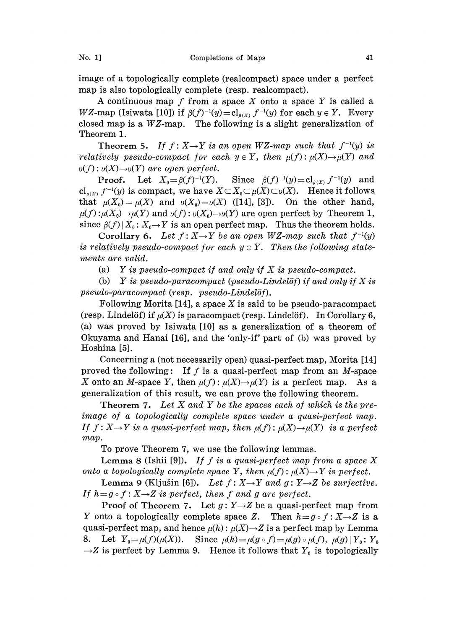image of a topologically complete (realcompact) space under a perfect map is also topologically complete (resp. realcompact).

A continuous map  $f$  from a space  $X$  onto a space  $Y$  is called a WZ-map (Isiwata [10]) if  $\beta(f)^{-1}(y)=\mathrm{cl}_{\beta(X)}f^{-1}(y)$  for each  $y \in Y$ . Every closed map is a WZ-map. The following is a slight generalization of Theorem 1.

Theorem 5. If  $f: X \rightarrow Y$  is an open WZ-map such that  $f^{-1}(y)$  is relatively pseudo-compact for each  $y \in Y$ , then  $\mu(f): \mu(X) \to \mu(Y)$  and  $v(f): v(X) \rightarrow v(Y)$  are open perfect.

**Proof.** Let  $X_0 = \beta(f)^{-1}(Y)$ . Since  $\beta(f)^{-1}(y) = cl_{\beta(X)} f^{-1}(y)$  and  $\text{cl}_{u(X)} f^{-1}(y)$  is compact, we have  $X \subset X_0 \subset \mu(X) \subset \nu(X)$ . Hence it follows that  $\mu(X_0)=\mu(X)$  and  $\nu(X_0)=\nu(X)$  ([14], [3]). On the other hand,  $\mu(f): \mu(X_0) \to \mu(Y)$  and  $\nu(f): \nu(X_0) \to \nu(Y)$  are open perfect by Theorem 1, since  $\beta(f) | X_0: X_0 \to Y$  is an open perfect map. Thus the theorem holds.

Corollary 6. Let  $f: X \rightarrow Y$  be an open WZ-map such that  $f^{-1}(y)$ is relatively pseudo-compact for each  $y \in Y$ . Then the following statements are valid.

(a) Y is pseudo-compact if and only if  $X$  is pseudo-compact.

(b) Y is pseudo-paracompact (pseudo-Lindelöf) if and only if X is pseudo-paracompact (resp. pseudo-Lindelöf).

Following Morita  $[14]$ , a space X is said to be pseudo-paracompact (resp. Lindelöf) if  $\mu(X)$  is paracompact (resp. Lindelöf). In Corollary 6, (a) was proved by Isiwata  $[10]$  as a generalization of a theorem of Okuyama and Hanai [16], and the 'only-if' part of (b) was proved by Hoshina [5].

Concerning a (not necessarily open) quasi-perfect map, Morita [14] proved the following: If  $f$  is a quasi-perfect map from an  $M$ -space X onto an M-space Y, then  $\mu(f): \mu(X) \to \mu(Y)$  is a perfect map. As a generalization of this result, we can prove the following theorem.

**Theorem 7.** Let  $X$  and  $Y$  be the spaces each of which is the preimage of a topologically complete space under a quasi-perfect map. If  $f: X \rightarrow Y$  is a quasi-perfect map, then  $\mu(f): \mu(X) \rightarrow \mu(Y)$  is a perfect map.

To prove Theorem 7, we use the following lemmas.

Lemma 8 (Ishii [9]). If f is a quasi-perfect map from a space X onto a topologically complete space Y, then  $\mu(f)$ :  $\mu(X) \rightarrow Y$  is perfect.

Lemma 9 (Kljušin [6]). Let  $f: X \rightarrow Y$  and  $g: Y \rightarrow Z$  be surjective. If  $h = g \circ f : X \rightarrow Z$  is perfect, then f and g are perfect.

Proof of Theorem 7. Let  $g: Y \rightarrow Z$  be a quasi-perfect map from Y onto a topologically complete space Z. Then  $h = g \circ f : X \rightarrow Z$  is a quasi-perfect map, and hence  $\mu(h)$ :  $\mu(X) \rightarrow Z$  is a perfect map by Lemma 8. Let  $Y_0 = \mu(f)(\mu(X))$ . Since  $\mu(h) = \mu(g \circ f) = \mu(g) \circ \mu(f)$ ,  $\mu(g) | Y_0 : Y_0$  $\rightarrow$ Z is perfect by Lemma 9. Hence it follows that  $Y_0$  is topologically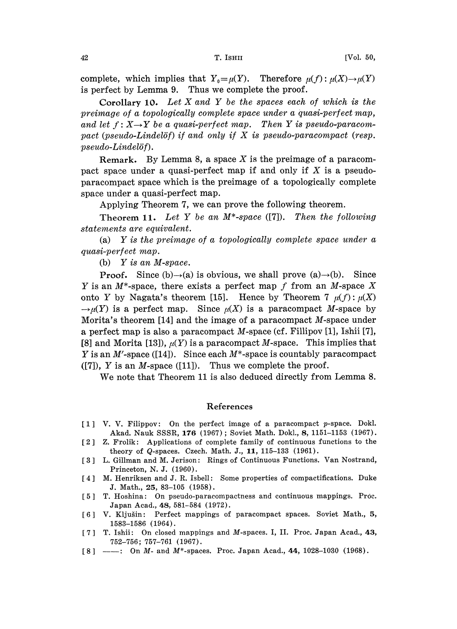complete, which implies that  $Y_0=\mu(Y)$ . Therefore  $\mu(f): \mu(X) \to \mu(Y)$ is perfect by Lemma 9. Thus we complete the proof.

Corollary 10. Let X and Y be the spaces each of which is the preimage of a topologically complete space under a quasi-perfect map, and let  $f: X \rightarrow Y$  be a quasi-perfect map. Then Y is pseudo-paracompact (pseudo-Lindelöf) if and only if  $X$  is pseudo-paracompact (resp. pseudo-Lindel6f).

Remark. By Lemma 8, a space  $X$  is the preimage of a paracompact space under a quasi-perfect map if and only if  $X$  is a pseudoparacompact space which is the preimage of a topologically complete space under a quasi-perfect map.

Applying Theorem 7, we can prove the following theorem.

Theorem 11. Let Y be an  $M^*$ -space ([7]). Then the following statenents are equivalent.

(a) Y is the preimage of a topologically complete space under a quasi-perfect map.

(b) Y is an M-space.

**Proof.** Since (b) $\rightarrow$ (a) is obvious, we shall prove (a) $\rightarrow$ (b). Since Y is an  $M^*$ -space, there exists a perfect map f from an M-space X onto Y by Nagata's theorem [15]. Hence by Theorem 7  $\mu(f)$ :  $\mu(X)$  $\rightarrow \mu(Y)$  is a perfect map. Since  $\mu(X)$  is a paracompact M-space by Morita's theorem [14] and the image of a paracompact  $M$ -space under a perfect map is also a paracompact M-space (cf. Fillipov [1], Ishii [7], [8] and Morita [13]),  $\mu(Y)$  is a paracompact M-space. This implies that Y is an M'-space ([14]). Since each  $M^*$ -space is countably paracompact ([7]),  $Y$  is an  $M$ -space ([11]). Thus we complete the proof.

We note that Theorem <sup>11</sup> is also deduced directly from Lemma 8.

## References

- [1] V. V. Filippov: On the perfect image of a paracompact p-space. Dokl. Akad. Nauk SSSR, 176 (1967); Soviet Math. Dokl., 8, 1151-1153 (1967).
- [21 Z. Frolik: Applications of complete family of continuous functions to the theory of Q-spaces. Czech. Math. J., 11, 115-133 (1961).
- [3] L. Gillman and M. Jerison: Rings of Continuous Functions. Van Nostrand, Princeton, N. J. (1960).
- [4] M. Henriksen and J. R. Isbell: Some properties of compactifications. Duke J. Math., 25, 83-105 (1958).
- [5] T. Hoshina: On pseudo-paracompactness and continuous mappings. Proc. Japan Acad., 48, 581-584 (1972).
- [6] V. Kljušin: Perfect mappings of paracompact spaces. Soviet Math., 5, 1583-1586 (1964).
- [7] T. Ishii: On closed mappings and M-spaces. I, II. Proc. Japan Acad., 43, 752-756; 757-761 (1967).
- [8]  $-\cdots$  On M- and M\*-spaces. Proc. Japan Acad., 44, 1028-1030 (1968).